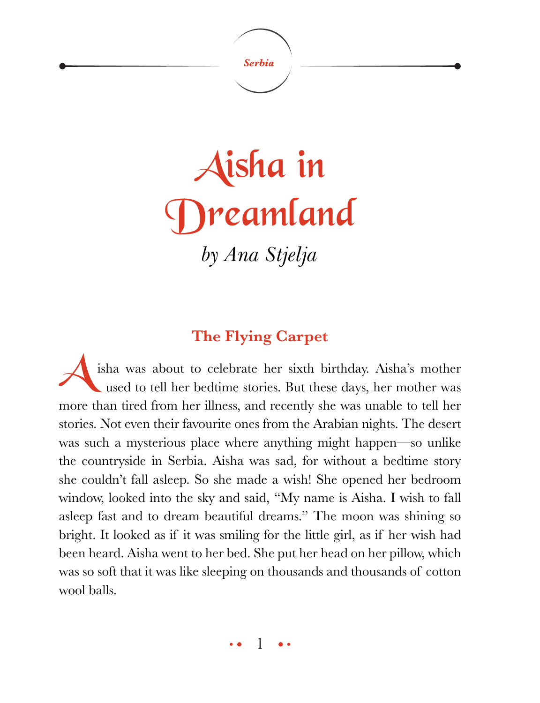

# Aisha in Dreamland *by Ana Stjelja*

# **The Flying Carpet**

isha was about to celebrate her sixth birthday. Aisha's mother used to tell her bedtime stories. But these days, her mother was more than tired from her illness, and recently she was unable to tell her stories. Not even their favourite ones from the Arabian nights. The desert was such a mysterious place where anything might happen—so unlike the countryside in Serbia. Aisha was sad, for without a bedtime story she couldn't fall asleep. So she made a wish! She opened her bedroom window, looked into the sky and said, "My name is Aisha. I wish to fall asleep fast and to dream beautiful dreams." The moon was shining so bright. It looked as if it was smiling for the little girl, as if her wish had been heard. Aisha went to her bed. She put her head on her pillow, which was so soft that it was like sleeping on thousands and thousands of cotton wool balls.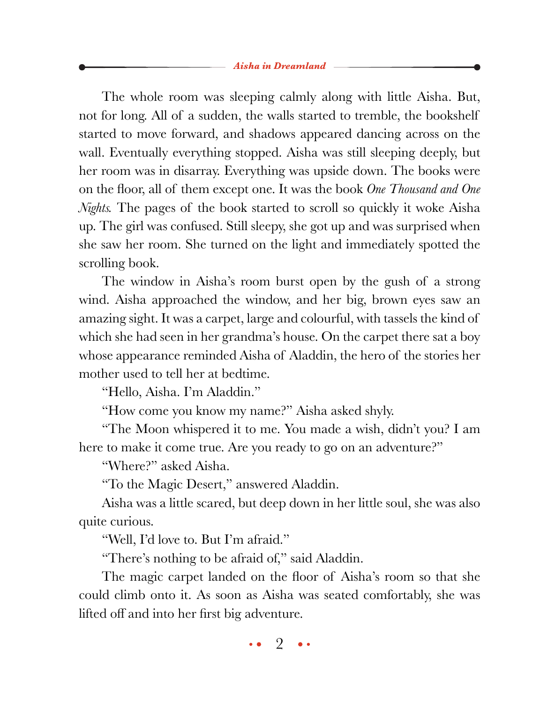The whole room was sleeping calmly along with little Aisha. But, not for long. All of a sudden, the walls started to tremble, the bookshelf started to move forward, and shadows appeared dancing across on the wall. Eventually everything stopped. Aisha was still sleeping deeply, but her room was in disarray. Everything was upside down. The books were on the floor, all of them except one. It was the book *One Thousand and One Nights.* The pages of the book started to scroll so quickly it woke Aisha up. The girl was confused. Still sleepy, she got up and was surprised when she saw her room. She turned on the light and immediately spotted the scrolling book.

The window in Aisha's room burst open by the gush of a strong wind. Aisha approached the window, and her big, brown eyes saw an amazing sight. It was a carpet, large and colourful, with tassels the kind of which she had seen in her grandma's house. On the carpet there sat a boy whose appearance reminded Aisha of Aladdin, the hero of the stories her mother used to tell her at bedtime.

"Hello, Aisha. I'm Aladdin."

"How come you know my name?" Aisha asked shyly.

"The Moon whispered it to me. You made a wish, didn't you? I am here to make it come true. Are you ready to go on an adventure?"

"Where?" asked Aisha.

"To the Magic Desert," answered Aladdin.

Aisha was a little scared, but deep down in her little soul, she was also quite curious.

"Well, I'd love to. But I'm afraid."

"There's nothing to be afraid of," said Aladdin.

The magic carpet landed on the floor of Aisha's room so that she could climb onto it. As soon as Aisha was seated comfortably, she was lifted off and into her first big adventure.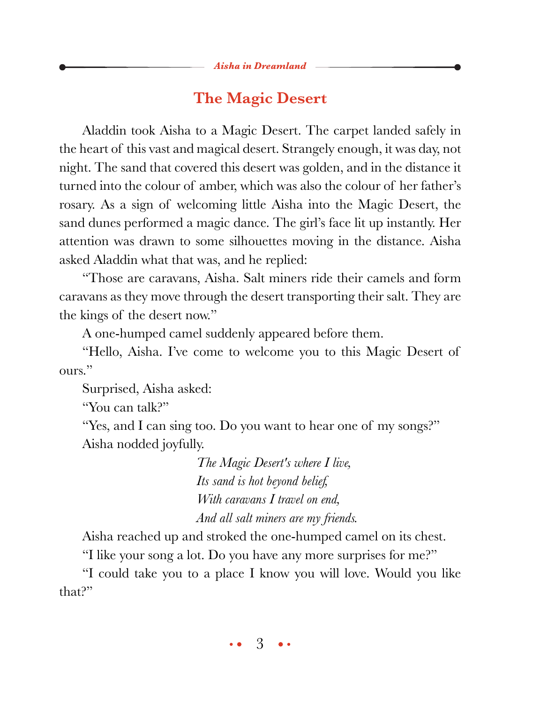### **The Magic Desert**

Aladdin took Aisha to a Magic Desert. The carpet landed safely in the heart of this vast and magical desert. Strangely enough, it was day, not night. The sand that covered this desert was golden, and in the distance it turned into the colour of amber, which was also the colour of her father's rosary. As a sign of welcoming little Aisha into the Magic Desert, the sand dunes performed a magic dance. The girl's face lit up instantly. Her attention was drawn to some silhouettes moving in the distance. Aisha asked Aladdin what that was, and he replied:

"Those are caravans, Aisha. Salt miners ride their camels and form caravans as they move through the desert transporting their salt. They are the kings of the desert now."

A one-humped camel suddenly appeared before them.

"Hello, Aisha. I've come to welcome you to this Magic Desert of ours."

Surprised, Aisha asked:

"You can talk?"

"Yes, and I can sing too. Do you want to hear one of my songs?" Aisha nodded joyfully.

> *The Magic Desert's where I live, Its sand is hot beyond belief, With caravans I travel on end, And all salt miners are my friends.*

Aisha reached up and stroked the one-humped camel on its chest.

"I like your song a lot. Do you have any more surprises for me?"

"I could take you to a place I know you will love. Would you like that?"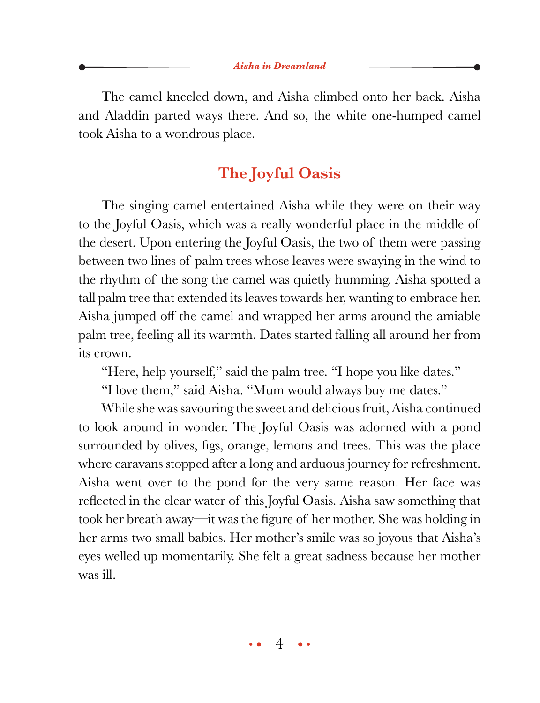The camel kneeled down, and Aisha climbed onto her back. Aisha and Aladdin parted ways there. And so, the white one-humped camel took Aisha to a wondrous place.

### **The Joyful Oasis**

The singing camel entertained Aisha while they were on their way to the Joyful Oasis, which was a really wonderful place in the middle of the desert. Upon entering the Joyful Oasis, the two of them were passing between two lines of palm trees whose leaves were swaying in the wind to the rhythm of the song the camel was quietly humming. Aisha spotted a tall palm tree that extended its leaves towards her, wanting to embrace her. Aisha jumped off the camel and wrapped her arms around the amiable palm tree, feeling all its warmth. Dates started falling all around her from its crown.

"Here, help yourself," said the palm tree. "I hope you like dates."

"I love them," said Aisha. "Mum would always buy me dates."

While she was savouring the sweet and delicious fruit, Aisha continued to look around in wonder. The Joyful Oasis was adorned with a pond surrounded by olives, figs, orange, lemons and trees. This was the place where caravans stopped after a long and arduous journey for refreshment. Aisha went over to the pond for the very same reason. Her face was reflected in the clear water of this Joyful Oasis. Aisha saw something that took her breath away—it was the figure of her mother. She was holding in her arms two small babies. Her mother's smile was so joyous that Aisha's eyes welled up momentarily. She felt a great sadness because her mother was ill.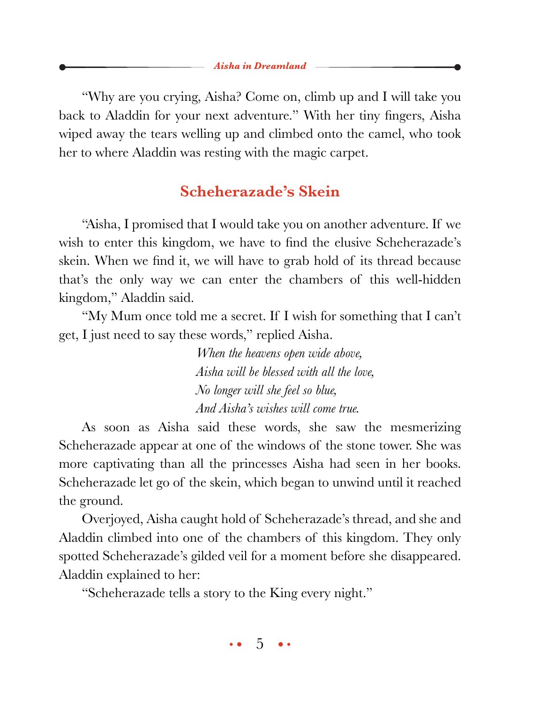"Why are you crying, Aisha? Come on, climb up and I will take you back to Aladdin for your next adventure." With her tiny fingers, Aisha wiped away the tears welling up and climbed onto the camel, who took her to where Aladdin was resting with the magic carpet.

### **Scheherazade's Skein**

"Aisha, I promised that I would take you on another adventure. If we wish to enter this kingdom, we have to find the elusive Scheherazade's skein. When we find it, we will have to grab hold of its thread because that's the only way we can enter the chambers of this well-hidden kingdom," Aladdin said.

"My Mum once told me a secret. If I wish for something that I can't get, I just need to say these words," replied Aisha.

> *When the heavens open wide above, Aisha will be blessed with all the love, No longer will she feel so blue, And Aisha's wishes will come true.*

As soon as Aisha said these words, she saw the mesmerizing Scheherazade appear at one of the windows of the stone tower. She was more captivating than all the princesses Aisha had seen in her books. Scheherazade let go of the skein, which began to unwind until it reached the ground.

Overjoyed, Aisha caught hold of Scheherazade's thread, and she and Aladdin climbed into one of the chambers of this kingdom. They only spotted Scheherazade's gilded veil for a moment before she disappeared. Aladdin explained to her:

"Scheherazade tells a story to the King every night."

 $\cdot \cdot 5$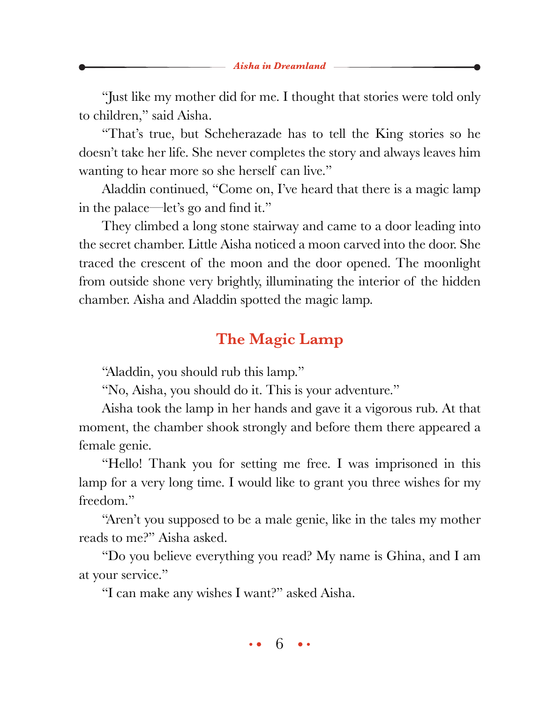"Just like my mother did for me. I thought that stories were told only to children," said Aisha.

"That's true, but Scheherazade has to tell the King stories so he doesn't take her life. She never completes the story and always leaves him wanting to hear more so she herself can live."

Aladdin continued, "Come on, I've heard that there is a magic lamp in the palace—let's go and find it."

They climbed a long stone stairway and came to a door leading into the secret chamber. Little Aisha noticed a moon carved into the door. She traced the crescent of the moon and the door opened. The moonlight from outside shone very brightly, illuminating the interior of the hidden chamber. Aisha and Aladdin spotted the magic lamp.

## **The Magic Lamp**

"Aladdin, you should rub this lamp."

"No, Aisha, you should do it. This is your adventure."

Aisha took the lamp in her hands and gave it a vigorous rub. At that moment, the chamber shook strongly and before them there appeared a female genie.

"Hello! Thank you for setting me free. I was imprisoned in this lamp for a very long time. I would like to grant you three wishes for my freedom."

"Aren't you supposed to be a male genie, like in the tales my mother reads to me?" Aisha asked.

"Do you believe everything you read? My name is Ghina, and I am at your service."

"I can make any wishes I want?" asked Aisha.

 $\cdot \cdot$  6  $\cdot \cdot$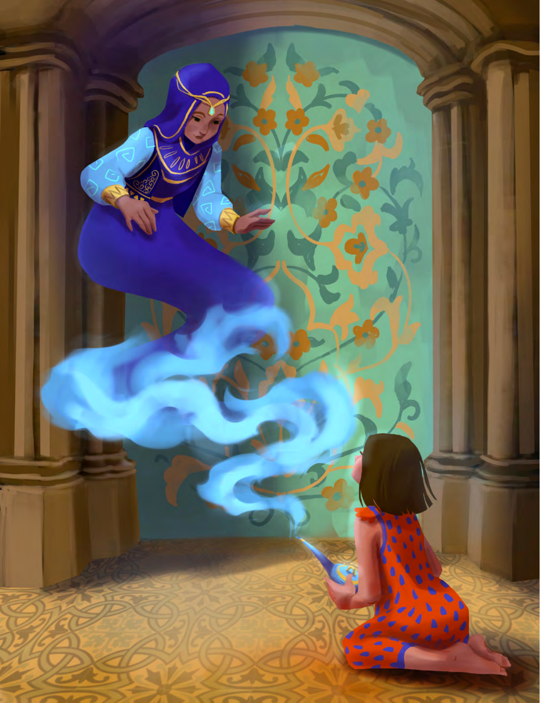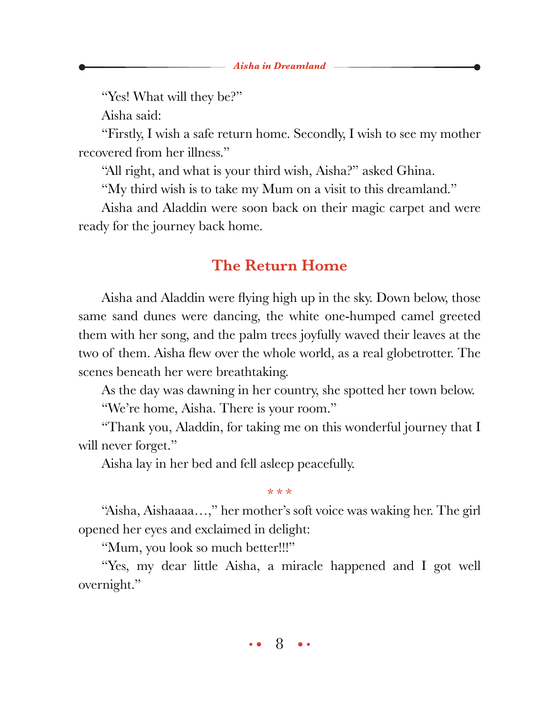"Yes! What will they be?"

Aisha said:

"Firstly, I wish a safe return home. Secondly, I wish to see my mother recovered from her illness."

"All right, and what is your third wish, Aisha?" asked Ghina.

"My third wish is to take my Mum on a visit to this dreamland."

Aisha and Aladdin were soon back on their magic carpet and were ready for the journey back home.

### **The Return Home**

Aisha and Aladdin were flying high up in the sky. Down below, those same sand dunes were dancing, the white one-humped camel greeted them with her song, and the palm trees joyfully waved their leaves at the two of them. Aisha flew over the whole world, as a real globetrotter. The scenes beneath her were breathtaking.

As the day was dawning in her country, she spotted her town below.

"We're home, Aisha. There is your room."

"Thank you, Aladdin, for taking me on this wonderful journey that I will never forget."

Aisha lay in her bed and fell asleep peacefully.

**\* \* \***

"Aisha, Aishaaaa…," her mother's soft voice was waking her. The girl opened her eyes and exclaimed in delight:

"Mum, you look so much better!!!"

"Yes, my dear little Aisha, a miracle happened and I got well overnight."